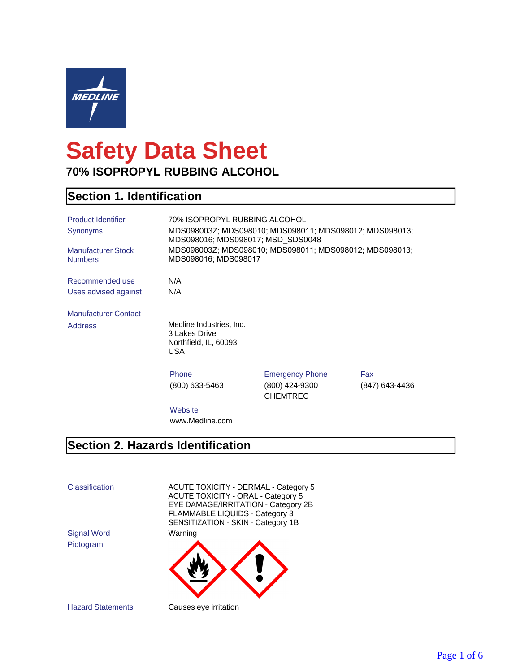

# **Safety Data Sheet 70% ISOPROPYL RUBBING ALCOHOL**

## **Section 1. Identification**

| <b>Product Identifier</b>                   |                                                                           | 70% ISOPROPYL RUBBING ALCOHOL                           |                |
|---------------------------------------------|---------------------------------------------------------------------------|---------------------------------------------------------|----------------|
| Synonyms                                    | MDS098016; MDS098017; MSD_SDS0048                                         | MDS098003Z; MDS098010; MDS098011; MDS098012; MDS098013; |                |
| <b>Manufacturer Stock</b><br><b>Numbers</b> | MDS098016; MDS098017                                                      | MDS098003Z; MDS098010; MDS098011; MDS098012; MDS098013; |                |
| Recommended use                             | N/A                                                                       |                                                         |                |
| Uses advised against                        | N/A                                                                       |                                                         |                |
| <b>Manufacturer Contact</b>                 |                                                                           |                                                         |                |
| <b>Address</b>                              | Medline Industries, Inc.<br>3 Lakes Drive<br>Northfield, IL, 60093<br>USA |                                                         |                |
|                                             | Phone                                                                     | <b>Emergency Phone</b>                                  | Fax            |
|                                             | (800) 633-5463                                                            | (800) 424-9300<br><b>CHEMTREC</b>                       | (847) 643-4436 |
|                                             | Website                                                                   |                                                         |                |
|                                             | www.Medline.com                                                           |                                                         |                |

## **Section 2. Hazards Identification**

Classification ACUTE TOXICITY - DERMAL - Category 5 ACUTE TOXICITY - ORAL - Category 5 EYE DAMAGE/IRRITATION - Category 2B FLAMMABLE LIQUIDS - Category 3 SENSITIZATION - SKIN - Category 1B

Signal Word Warning Pictogram

Hazard Statements Causes eye irritation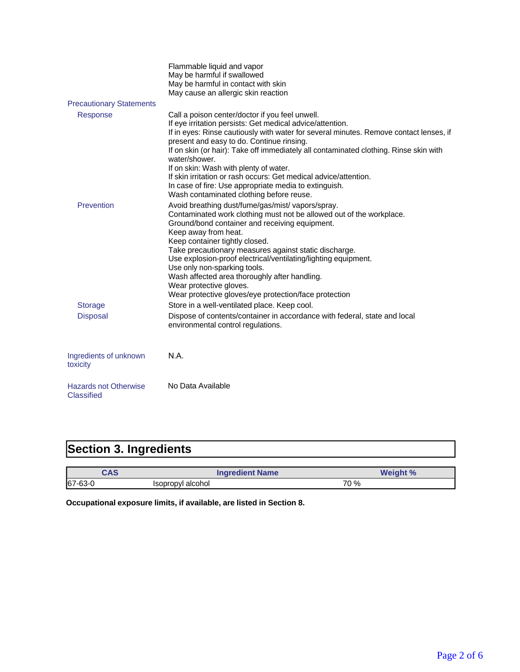|                                                   | Flammable liquid and vapor<br>May be harmful if swallowed<br>May be harmful in contact with skin<br>May cause an allergic skin reaction                                                                                                                                                                                                                                                                                                                                                                                                                                          |
|---------------------------------------------------|----------------------------------------------------------------------------------------------------------------------------------------------------------------------------------------------------------------------------------------------------------------------------------------------------------------------------------------------------------------------------------------------------------------------------------------------------------------------------------------------------------------------------------------------------------------------------------|
| <b>Precautionary Statements</b>                   |                                                                                                                                                                                                                                                                                                                                                                                                                                                                                                                                                                                  |
| Response                                          | Call a poison center/doctor if you feel unwell.<br>If eye irritation persists: Get medical advice/attention.<br>If in eyes: Rinse cautiously with water for several minutes. Remove contact lenses, if<br>present and easy to do. Continue rinsing.<br>If on skin (or hair): Take off immediately all contaminated clothing. Rinse skin with<br>water/shower.<br>If on skin: Wash with plenty of water.<br>If skin irritation or rash occurs: Get medical advice/attention.<br>In case of fire: Use appropriate media to extinguish.<br>Wash contaminated clothing before reuse. |
| Prevention                                        | Avoid breathing dust/fume/gas/mist/ vapors/spray.<br>Contaminated work clothing must not be allowed out of the workplace.<br>Ground/bond container and receiving equipment.<br>Keep away from heat.<br>Keep container tightly closed.<br>Take precautionary measures against static discharge.<br>Use explosion-proof electrical/ventilating/lighting equipment.<br>Use only non-sparking tools.<br>Wash affected area thoroughly after handling.<br>Wear protective gloves.<br>Wear protective gloves/eye protection/face protection                                            |
| <b>Storage</b>                                    | Store in a well-ventilated place. Keep cool.                                                                                                                                                                                                                                                                                                                                                                                                                                                                                                                                     |
| <b>Disposal</b>                                   | Dispose of contents/container in accordance with federal, state and local<br>environmental control regulations.                                                                                                                                                                                                                                                                                                                                                                                                                                                                  |
| Ingredients of unknown<br>toxicity                | N.A.                                                                                                                                                                                                                                                                                                                                                                                                                                                                                                                                                                             |
| <b>Hazards not Otherwise</b><br><b>Classified</b> | No Data Available                                                                                                                                                                                                                                                                                                                                                                                                                                                                                                                                                                |

# **Section 3. Ingredients**

| CAS        |                   | <b>Ingredient Name</b> | <b>Weight %</b> |
|------------|-------------------|------------------------|-----------------|
| $ 67-63-0$ | Isopropyl alcohol | 70 %                   |                 |

**Occupational exposure limits, if available, are listed in Section 8.**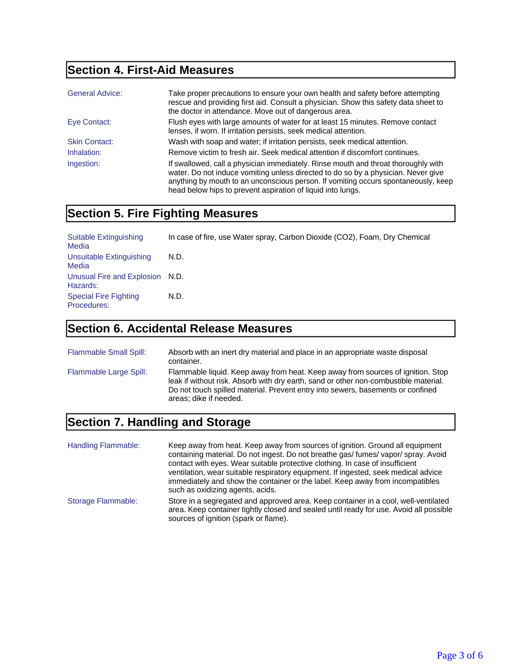## **Section 4. First-Aid Measures**

| <b>General Advice:</b> | Take proper precautions to ensure your own health and safety before attempting<br>rescue and providing first aid. Consult a physician. Show this safety data sheet to<br>the doctor in attendance. Move out of dangerous area.                                                                                               |
|------------------------|------------------------------------------------------------------------------------------------------------------------------------------------------------------------------------------------------------------------------------------------------------------------------------------------------------------------------|
| Eye Contact:           | Flush eyes with large amounts of water for at least 15 minutes. Remove contact<br>lenses, if worn. If irritation persists, seek medical attention.                                                                                                                                                                           |
| <b>Skin Contact:</b>   | Wash with soap and water; if irritation persists, seek medical attention.                                                                                                                                                                                                                                                    |
| Inhalation:            | Remove victim to fresh air. Seek medical attention if discomfort continues.                                                                                                                                                                                                                                                  |
| Ingestion:             | If swallowed, call a physician immediately. Rinse mouth and throat thoroughly with<br>water. Do not induce vomiting unless directed to do so by a physician. Never give<br>anything by mouth to an unconscious person. If vomiting occurs spontaneously, keep<br>head below hips to prevent aspiration of liquid into lungs. |

## **Section 5. Fire Fighting Measures**

| Suitable Extinguishing<br>Media             | In case of fire, use Water spray, Carbon Dioxide (CO2), Foam, Dry Chemical |
|---------------------------------------------|----------------------------------------------------------------------------|
| Unsuitable Extinguishing<br>Media           | N.D.                                                                       |
| Unusual Fire and Explosion N.D.<br>Hazards: |                                                                            |
| <b>Special Fire Fighting</b><br>Procedures: | N.D.                                                                       |

## **Section 6. Accidental Release Measures**

| Flammable Small Spill: | Absorb with an inert dry material and place in an appropriate waste disposal<br>container.                                                                                                                                                                                           |
|------------------------|--------------------------------------------------------------------------------------------------------------------------------------------------------------------------------------------------------------------------------------------------------------------------------------|
| Flammable Large Spill: | Flammable liquid. Keep away from heat. Keep away from sources of ignition. Stop<br>leak if without risk. Absorb with dry earth, sand or other non-combustible material.<br>Do not touch spilled material. Prevent entry into sewers, basements or confined<br>areas; dike if needed. |

#### **Section 7. Handling and Storage**

Handling Flammable: Keep away from heat. Keep away from sources of ignition. Ground all equipment containing material. Do not ingest. Do not breathe gas/ fumes/ vapor/ spray. Avoid contact with eyes. Wear suitable protective clothing. In case of insufficient ventilation, wear suitable respiratory equipment. If ingested, seek medical advice immediately and show the container or the label. Keep away from incompatibles such as oxidizing agents, acids. Storage Flammable: Store in a segregated and approved area. Keep container in a cool, well-ventilated area. Keep container tightly closed and sealed until ready for use. Avoid all possible sources of ignition (spark or flame).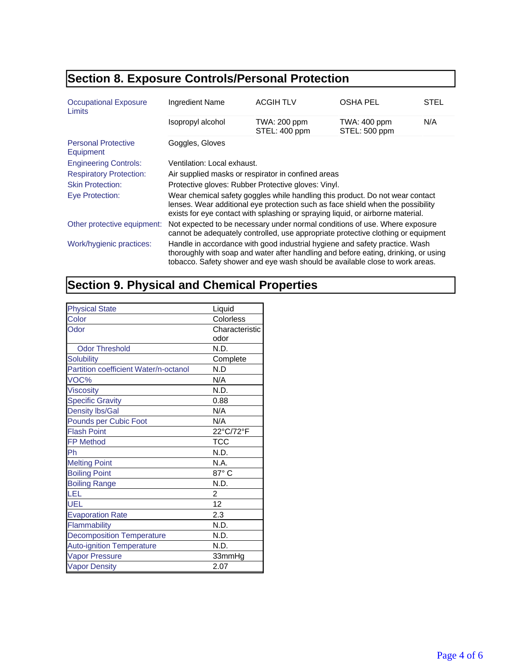# **Section 8. Exposure Controls/Personal Protection**

| <b>Occupational Exposure</b><br>Limits  | Ingredient Name                                                                                                                                                                                                                                     | <b>ACGIH TLV</b>              | <b>OSHA PEL</b>               | STEL |
|-----------------------------------------|-----------------------------------------------------------------------------------------------------------------------------------------------------------------------------------------------------------------------------------------------------|-------------------------------|-------------------------------|------|
|                                         | Isopropyl alcohol                                                                                                                                                                                                                                   | TWA: 200 ppm<br>STEL: 400 ppm | TWA: 400 ppm<br>STEL: 500 ppm | N/A  |
| <b>Personal Protective</b><br>Equipment | Goggles, Gloves                                                                                                                                                                                                                                     |                               |                               |      |
| <b>Engineering Controls:</b>            | Ventilation: Local exhaust.                                                                                                                                                                                                                         |                               |                               |      |
| <b>Respiratory Protection:</b>          | Air supplied masks or respirator in confined areas                                                                                                                                                                                                  |                               |                               |      |
| <b>Skin Protection:</b>                 | Protective gloves: Rubber Protective gloves: Vinyl.                                                                                                                                                                                                 |                               |                               |      |
| Eye Protection:                         | Wear chemical safety goggles while handling this product. Do not wear contact<br>lenses. Wear additional eye protection such as face shield when the possibility<br>exists for eye contact with splashing or spraying liquid, or airborne material. |                               |                               |      |
| Other protective equipment:             | Not expected to be necessary under normal conditions of use. Where exposure<br>cannot be adequately controlled, use appropriate protective clothing or equipment                                                                                    |                               |                               |      |
| Work/hygienic practices:                | Handle in accordance with good industrial hygiene and safety practice. Wash<br>thoroughly with soap and water after handling and before eating, drinking, or using<br>tobacco. Safety shower and eye wash should be available close to work areas.  |                               |                               |      |

# **Section 9. Physical and Chemical Properties**

| <b>Physical State</b>                 | Liquid         |
|---------------------------------------|----------------|
| Color                                 | Colorless      |
| Odor                                  | Characteristic |
|                                       | odor           |
| <b>Odor Threshold</b>                 | N.D.           |
| <b>Solubility</b>                     | Complete       |
| Partition coefficient Water/n-octanol | N.D            |
| VOC%                                  | N/A            |
| <b>Viscosity</b>                      | N.D.           |
| <b>Specific Gravity</b>               | 0.88           |
| <b>Density lbs/Gal</b>                | N/A            |
| <b>Pounds per Cubic Foot</b>          | N/A            |
| <b>Flash Point</b>                    | 22°C/72°F      |
| <b>FP Method</b>                      | TCC            |
| Ph                                    | N.D.           |
| <b>Melting Point</b>                  | N.A.           |
| <b>Boiling Point</b>                  | 87°C           |
| <b>Boiling Range</b>                  | N.D.           |
| LEL                                   | 2              |
| <b>UEL</b>                            | 12             |
| <b>Evaporation Rate</b>               | 2.3            |
| Flammability                          | N.D.           |
| <b>Decomposition Temperature</b>      | N.D.           |
| <b>Auto-ignition Temperature</b>      | N.D.           |
| <b>Vapor Pressure</b>                 | 33mmHg         |
| <b>Vapor Density</b>                  | 2.07           |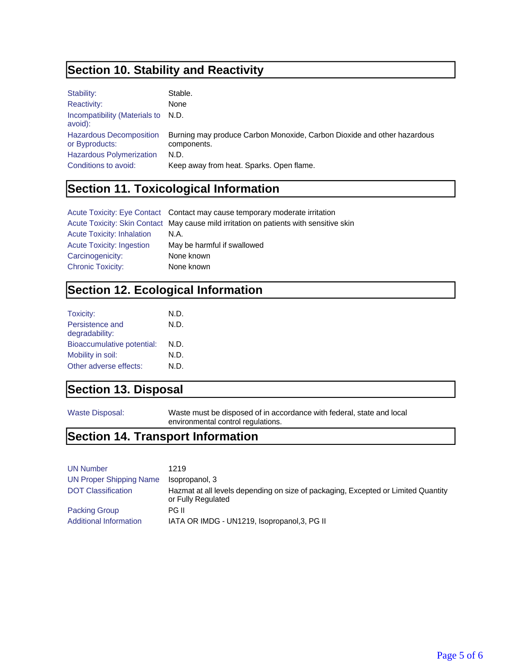## **Section 10. Stability and Reactivity**

| Stability:                                       | Stable.                                                                                |
|--------------------------------------------------|----------------------------------------------------------------------------------------|
| Reactivity:                                      | None                                                                                   |
| Incompatibility (Materials to N.D.<br>avoid):    |                                                                                        |
| <b>Hazardous Decomposition</b><br>or Byproducts: | Burning may produce Carbon Monoxide, Carbon Dioxide and other hazardous<br>components. |
| <b>Hazardous Polymerization</b>                  | N.D.                                                                                   |
| Conditions to avoid:                             | Keep away from heat. Sparks. Open flame.                                               |

# **Section 11. Toxicological Information**

|                                   | Acute Toxicity: Eye Contact Contact may cause temporary moderate irritation            |
|-----------------------------------|----------------------------------------------------------------------------------------|
|                                   | Acute Toxicity: Skin Contact May cause mild irritation on patients with sensitive skin |
| <b>Acute Toxicity: Inhalation</b> | N.A.                                                                                   |
| <b>Acute Toxicity: Ingestion</b>  | May be harmful if swallowed                                                            |
| Carcinogenicity:                  | None known                                                                             |
| <b>Chronic Toxicity:</b>          | None known                                                                             |

## **Section 12. Ecological Information**

| N.D. |
|------|
| N.D. |
|      |
| N.D. |
| N.D. |
| N.D. |
|      |

## **Section 13. Disposal**

Waste Disposal: Waste must be disposed of in accordance with federal, state and local environmental control regulations.

## **Section 14. Transport Information**

| <b>UN Number</b>               | 1219                                                                                                    |
|--------------------------------|---------------------------------------------------------------------------------------------------------|
| <b>UN Proper Shipping Name</b> | Isopropanol, 3                                                                                          |
| <b>DOT Classification</b>      | Hazmat at all levels depending on size of packaging, Excepted or Limited Quantity<br>or Fully Regulated |
| <b>Packing Group</b>           | PG II                                                                                                   |
| Additional Information         | IATA OR IMDG - UN1219, Isopropanol, 3, PG II                                                            |